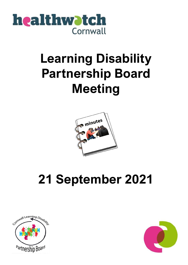

# **Learning Disability Partnership Board Meeting**



# **21 September 2021**



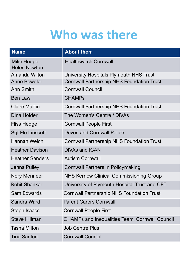## **Who was there**

| <b>Name</b>                               | <b>About them</b>                                     |
|-------------------------------------------|-------------------------------------------------------|
| <b>Mike Hooper</b><br><b>Helen Newton</b> | <b>Healthwatch Cornwall</b>                           |
| Amanda Wilton                             | University Hospitals Plymouth NHS Trust               |
| <b>Anne Bowdler</b>                       | <b>Cornwall Partnership NHS Foundation Trust</b>      |
| <b>Ann Smith</b>                          | <b>Cornwall Council</b>                               |
| <b>Ben Law</b>                            | <b>CHAMPs</b>                                         |
| <b>Claire Martin</b>                      | <b>Cornwall Partnership NHS Foundation Trust</b>      |
| Dina Holder                               | The Women's Centre / DIVAs                            |
| <b>Fliss Hedge</b>                        | <b>Cornwall People First</b>                          |
| <b>Sgt Flo Linscott</b>                   | <b>Devon and Cornwall Police</b>                      |
| <b>Hannah Welch</b>                       | <b>Cornwall Partnership NHS Foundation Trust</b>      |
| <b>Heather Davison</b>                    | <b>DIVAs and ICAN</b>                                 |
| <b>Heather Sanders</b>                    | <b>Autism Cornwall</b>                                |
| Jenna Pulley                              | <b>Cornwall Partners in Policymaking</b>              |
| Nory Menneer                              | <b>NHS Kernow Clinical Commissioning Group</b>        |
| <b>Rohit Shankar</b>                      | University of Plymouth Hospital Trust and CFT         |
| <b>Sam Edwards</b>                        | <b>Cornwall Partnership NHS Foundation Trust</b>      |
| Sandra Ward                               | <b>Parent Carers Cornwall</b>                         |
| Steph Isaacs                              | <b>Cornwall People First</b>                          |
| <b>Steve Hillman</b>                      | <b>CHAMPs and Inequalities Team, Cornwall Council</b> |
| <b>Tasha Milton</b>                       | <b>Job Centre Plus</b>                                |
| <b>Tina Sanford</b>                       | <b>Cornwall Council</b>                               |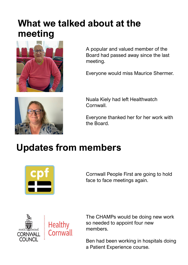## **What we talked about at the meeting**



A popular and valued member of the Board had passed away since the last meeting.

Everyone would miss Maurice Shermer.



Nuala Kiely had left Healthwatch Cornwall.

Everyone thanked her for her work with the Board.

## **Updates from members**



Cornwall People First are going to hold face to face meetings again.



The CHAMPs would be doing new work so needed to appoint four new members.

Ben had been working in hospitals doing a Patient Experience course.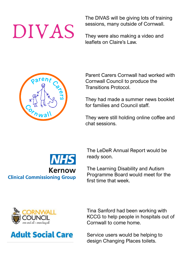#### The DIVAS will be giving lots of training sessions, many outside of Cornwall.

They were also making a video and leaflets on Claire's Law.

Parent Carers Cornwall had worked with Cornwall Council to produce the Transitions Protocol.

> They had made a summer news booklet for families and Council staff.

> They were still holding online coffee and chat sessions.

The LeDeR Annual Report would be ready soon.

The Learning Disability and Autism Programme Board would meet for the first time that week.



Cornwall to come home. Service users would be helping to

design Changing Places toilets.

Tina Sanford had been working with

KCCG to help people in hospitals out of







DIVAS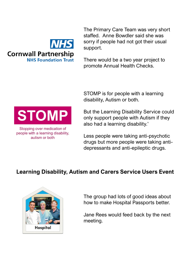

The Primary Care Team was very short staffed. Anne Bowdler said she was sorry if people had not got their usual support.

There would be a two year project to promote Annual Health Checks.

STOMP is for people with a learning disability, Autism or both.



Less people were taking anti-psychotic drugs but more people were taking antidepressants and anti-epileptic drugs.

### **Learning Disability, Autism and Carers Service Users Event**



The group had lots of good ideas about how to make Hospital Passports better.

Jane Rees would feed back by the next meeting.



Stopping over medication of people with a learning disability. autism or both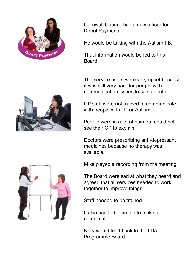

Cornwall Council had a new officer for Direct Payments.

He would be talking with the Autism PB.

That information would be fed to this Board.

The service users were very upset because it was still very hard for people with communication issues to see a doctor.

GP staff were not trained to communicate with people with LD or Autism.

People were in a lot of pain but could not see their GP to explain.

Doctors were prescribing anti-depressant medicines because no therapy was available.

Mike played a recording from the meeting.

The Board were sad at what they heard and agreed that all services needed to work together to improve things.

Staff needed to be trained.

It also had to be simple to make a complaint.

Nory would feed back to the LDA Programme Board.



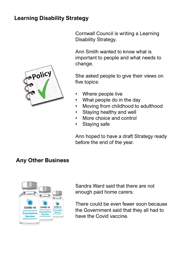### **Learning Disability Strategy**



Cornwall Council is writing a Learning Disability Strategy.

Ann Smith wanted to know what is important to people and what needs to change.

She asked people to give their views on five topics:

- Where people live
- What people do in the day
- Moving from childhood to adulthood
- Staying healthy and well
- More choice and control
- Staying safe

Ann hoped to have a draft Strategy ready before the end of the year.

#### **Any Other Business**



Sandra Ward said that there are not enough paid home carers.

There could be even fewer soon because the Government said that they all had to have the Covid vaccine.